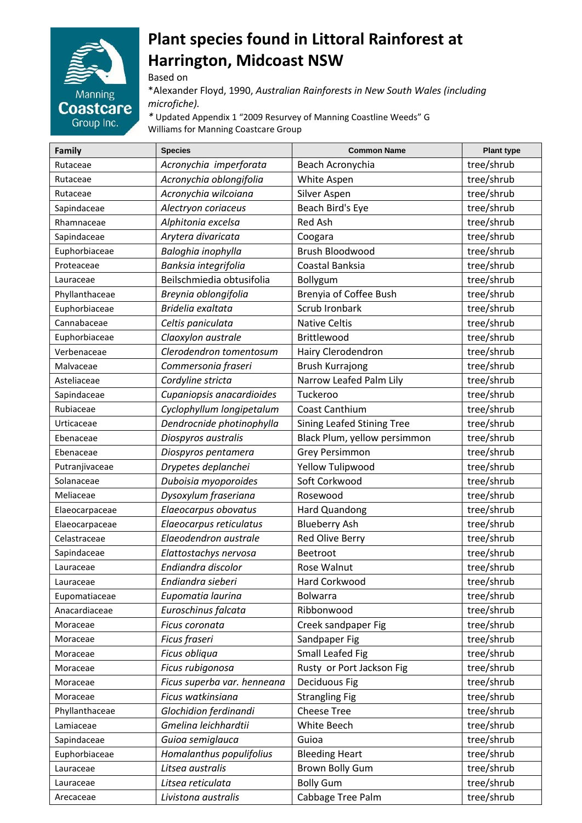

## **Plant species found in Littoral Rainforest at Harrington, Midcoast NSW**

Based on

\*Alexander Floyd, 1990, *Australian Rainforests in New South Wales (including microfiche).* 

*\** Updated Appendix 1 "2009 Resurvey of Manning Coastline Weeds" G Williams for Manning Coastcare Group

| Family         | <b>Species</b>              | <b>Common Name</b>                | <b>Plant type</b> |
|----------------|-----------------------------|-----------------------------------|-------------------|
| Rutaceae       | Acronychia imperforata      | Beach Acronychia                  | tree/shrub        |
| Rutaceae       | Acronychia oblongifolia     | White Aspen                       | tree/shrub        |
| Rutaceae       | Acronychia wilcoiana        | Silver Aspen                      | tree/shrub        |
| Sapindaceae    | Alectryon coriaceus         | Beach Bird's Eye                  | tree/shrub        |
| Rhamnaceae     | Alphitonia excelsa          | Red Ash                           | tree/shrub        |
| Sapindaceae    | Arytera divaricata          | Coogara                           | tree/shrub        |
| Euphorbiaceae  | Baloghia inophylla          | Brush Bloodwood                   | tree/shrub        |
| Proteaceae     | Banksia integrifolia        | Coastal Banksia                   | tree/shrub        |
| Lauraceae      | Beilschmiedia obtusifolia   | Bollygum                          | tree/shrub        |
| Phyllanthaceae | Breynia oblongifolia        | Brenyia of Coffee Bush            | tree/shrub        |
| Euphorbiaceae  | Bridelia exaltata           | Scrub Ironbark                    | tree/shrub        |
| Cannabaceae    | Celtis paniculata           | <b>Native Celtis</b>              | tree/shrub        |
| Euphorbiaceae  | Claoxylon australe          | Brittlewood                       | tree/shrub        |
| Verbenaceae    | Clerodendron tomentosum     | Hairy Clerodendron                | tree/shrub        |
| Malvaceae      | Commersonia fraseri         | <b>Brush Kurrajong</b>            | tree/shrub        |
| Asteliaceae    | Cordyline stricta           | Narrow Leafed Palm Lily           | tree/shrub        |
| Sapindaceae    | Cupaniopsis anacardioides   | Tuckeroo                          | tree/shrub        |
| Rubiaceae      | Cyclophyllum longipetalum   | Coast Canthium                    | tree/shrub        |
| Urticaceae     | Dendrocnide photinophylla   | <b>Sining Leafed Stining Tree</b> | tree/shrub        |
| Ebenaceae      | Diospyros australis         | Black Plum, yellow persimmon      | tree/shrub        |
| Ebenaceae      | Diospyros pentamera         | <b>Grey Persimmon</b>             | tree/shrub        |
| Putranjivaceae | Drypetes deplanchei         | Yellow Tulipwood                  | tree/shrub        |
| Solanaceae     | Duboisia myoporoides        | Soft Corkwood                     | tree/shrub        |
| Meliaceae      | Dysoxylum fraseriana        | Rosewood                          | tree/shrub        |
| Elaeocarpaceae | Elaeocarpus obovatus        | Hard Quandong                     | tree/shrub        |
| Elaeocarpaceae | Elaeocarpus reticulatus     | <b>Blueberry Ash</b>              | tree/shrub        |
| Celastraceae   | Elaeodendron australe       | Red Olive Berry                   | tree/shrub        |
| Sapindaceae    | Elattostachys nervosa       | <b>Beetroot</b>                   | tree/shrub        |
| Lauraceae      | Endiandra discolor          | Rose Walnut                       | tree/shrub        |
| Lauraceae      | Endiandra sieberi           | Hard Corkwood                     | tree/shrub        |
| Eupomatiaceae  | Eupomatia laurina           | Bolwarra                          | tree/shrub        |
| Anacardiaceae  | Euroschinus falcata         | Ribbonwood                        | tree/shrub        |
| Moraceae       | Ficus coronata              | Creek sandpaper Fig               | tree/shrub        |
| Moraceae       | Ficus fraseri               | Sandpaper Fig                     | tree/shrub        |
| Moraceae       | Ficus obliqua               | <b>Small Leafed Fig</b>           | tree/shrub        |
| Moraceae       | Ficus rubigonosa            | Rusty or Port Jackson Fig         | tree/shrub        |
| Moraceae       | Ficus superba var. henneana | Deciduous Fig                     | tree/shrub        |
| Moraceae       | Ficus watkinsiana           | <b>Strangling Fig</b>             | tree/shrub        |
| Phyllanthaceae | Glochidion ferdinandi       | <b>Cheese Tree</b>                | tree/shrub        |
| Lamiaceae      | Gmelina leichhardtii        | White Beech                       | tree/shrub        |
| Sapindaceae    | Guioa semiglauca            | Guioa                             | tree/shrub        |
| Euphorbiaceae  | Homalanthus populifolius    | <b>Bleeding Heart</b>             | tree/shrub        |
| Lauraceae      | Litsea australis            | <b>Brown Bolly Gum</b>            | tree/shrub        |
| Lauraceae      | Litsea reticulata           | <b>Bolly Gum</b>                  | tree/shrub        |
| Arecaceae      | Livistona australis         | Cabbage Tree Palm                 | tree/shrub        |